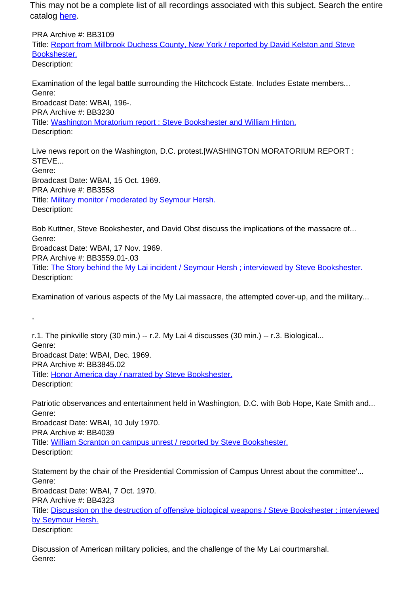This may not be a complete list of all recordings associated with this subject. Search the entire catalog [here.](http://pacificaradioarchives.org/keyword-search)

PRA Archive #: BB3109 Title: Report from Millbrook Duchess County, New York / reported by David Kelston and Steve Bookshester. Description:

Examination of the legal battle surrounding the Hitchcock Estate. Includes Estate members... Genre: Broadcast Date: WBAI, 196-. PRA Archive #: BB3230 Title: Washington Moratorium report : Steve Bookshester and William Hinton. Description:

Live news report on the Washington, D.C. protest.|WASHINGTON MORATORIUM REPORT : STEVE... Genre: Broadcast Date: WBAI, 15 Oct. 1969. PRA Archive #: BB3558 Title: Military monitor / moderated by Seymour Hersh. Description:

Bob Kuttner, Steve Bookshester, and David Obst discuss the implications of the massacre of... Genre: Broadcast Date: WBAI, 17 Nov. 1969. PRA Archive #: BB3559.01-.03 Title: The Story behind the My Lai incident / Seymour Hersh ; interviewed by Steve Bookshester. Description:

Examination of various aspects of the My Lai massacre, the attempted cover-up, and the military...

r.1. The pinkville story (30 min.) -- r.2. My Lai 4 discusses (30 min.) -- r.3. Biological... Genre: Broadcast Date: WBAI, Dec. 1969. PRA Archive #: BB3845.02 Title: Honor America day / narrated by Steve Bookshester. Description:

,

Patriotic observances and entertainment held in Washington, D.C. with Bob Hope, Kate Smith and... Genre: Broadcast Date: WBAI, 10 July 1970. PRA Archive #: BB4039 Title: William Scranton on campus unrest / reported by Steve Bookshester. Description:

Statement by the chair of the Presidential Commission of Campus Unrest about the committee'... Genre: Broadcast Date: WBAI, 7 Oct. 1970. PRA Archive #: BB4323 Title: Discussion on the destruction of offensive biological weapons / Steve Bookshester ; interviewed by Seymour Hersh. Description:

Discussion of American military policies, and the challenge of the My Lai courtmarshal. Genre: